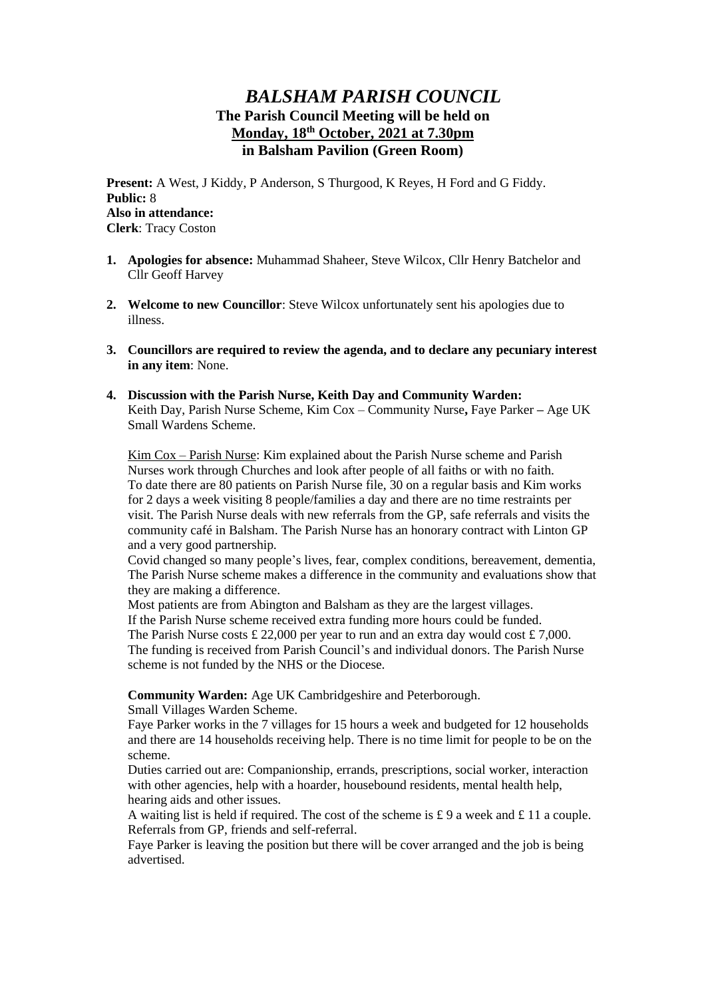# *BALSHAM PARISH COUNCIL* **The Parish Council Meeting will be held on Monday, 18th October, 2021 at 7.30pm in Balsham Pavilion (Green Room)**

**Present:** A West, J Kiddy, P Anderson, S Thurgood, K Reyes, H Ford and G Fiddy. **Public:** 8 **Also in attendance: Clerk**: Tracy Coston

- **1. Apologies for absence:** Muhammad Shaheer, Steve Wilcox, Cllr Henry Batchelor and Cllr Geoff Harvey
- **2. Welcome to new Councillor**: Steve Wilcox unfortunately sent his apologies due to illness.
- **3. Councillors are required to review the agenda, and to declare any pecuniary interest in any item**: None.
- **4. Discussion with the Parish Nurse, Keith Day and Community Warden:** Keith Day, Parish Nurse Scheme, Kim Cox – Community Nurse**,** Faye Parker **–** Age UK Small Wardens Scheme.

Kim Cox – Parish Nurse: Kim explained about the Parish Nurse scheme and Parish Nurses work through Churches and look after people of all faiths or with no faith. To date there are 80 patients on Parish Nurse file, 30 on a regular basis and Kim works for 2 days a week visiting 8 people/families a day and there are no time restraints per visit. The Parish Nurse deals with new referrals from the GP, safe referrals and visits the community café in Balsham. The Parish Nurse has an honorary contract with Linton GP and a very good partnership.

Covid changed so many people's lives, fear, complex conditions, bereavement, dementia, The Parish Nurse scheme makes a difference in the community and evaluations show that they are making a difference.

Most patients are from Abington and Balsham as they are the largest villages. If the Parish Nurse scheme received extra funding more hours could be funded. The Parish Nurse costs £ 22,000 per year to run and an extra day would cost £ 7,000. The funding is received from Parish Council's and individual donors. The Parish Nurse scheme is not funded by the NHS or the Diocese.

**Community Warden:** Age UK Cambridgeshire and Peterborough.

Small Villages Warden Scheme.

Faye Parker works in the 7 villages for 15 hours a week and budgeted for 12 households and there are 14 households receiving help. There is no time limit for people to be on the scheme.

Duties carried out are: Companionship, errands, prescriptions, social worker, interaction with other agencies, help with a hoarder, housebound residents, mental health help, hearing aids and other issues.

A waiting list is held if required. The cost of the scheme is £ 9 a week and £ 11 a couple. Referrals from GP, friends and self-referral.

Faye Parker is leaving the position but there will be cover arranged and the job is being advertised.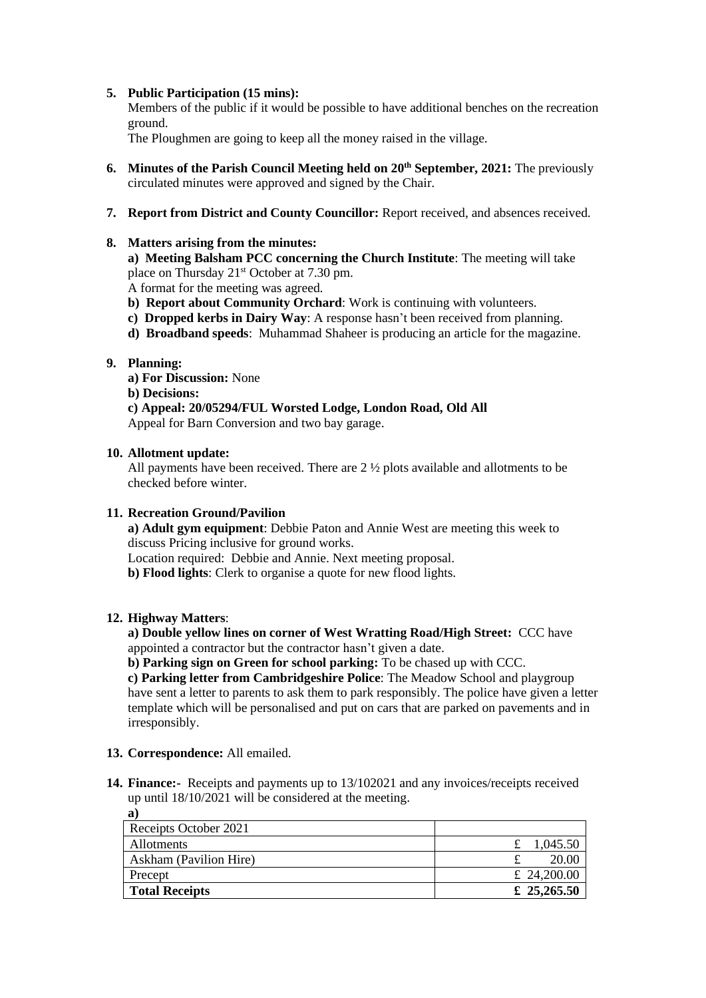## **5. Public Participation (15 mins):**

Members of the public if it would be possible to have additional benches on the recreation ground.

The Ploughmen are going to keep all the money raised in the village.

- **6. Minutes of the Parish Council Meeting held on 20th September, 2021:** The previously circulated minutes were approved and signed by the Chair.
- **7. Report from District and County Councillor:** Report received, and absences received.

### **8. Matters arising from the minutes:**

**a) Meeting Balsham PCC concerning the Church Institute**: The meeting will take place on Thursday 21<sup>st</sup> October at 7.30 pm.

A format for the meeting was agreed.

- **b) Report about Community Orchard**: Work is continuing with volunteers.
- **c) Dropped kerbs in Dairy Way**: A response hasn't been received from planning.
- **d) Broadband speeds**: Muhammad Shaheer is producing an article for the magazine.

## **9. Planning:**

**a) For Discussion:** None

**b) Decisions:**

**c) Appeal: 20/05294/FUL Worsted Lodge, London Road, Old All** Appeal for Barn Conversion and two bay garage.

#### **10. Allotment update:**

All payments have been received. There are 2 ½ plots available and allotments to be checked before winter.

#### **11. Recreation Ground/Pavilion**

**a) Adult gym equipment**: Debbie Paton and Annie West are meeting this week to discuss Pricing inclusive for ground works.

Location required: Debbie and Annie. Next meeting proposal.

**b) Flood lights**: Clerk to organise a quote for new flood lights.

#### **12. Highway Matters**:

**a) Double yellow lines on corner of West Wratting Road/High Street:** CCC have appointed a contractor but the contractor hasn't given a date.

**b) Parking sign on Green for school parking:** To be chased up with CCC.

**c) Parking letter from Cambridgeshire Police**: The Meadow School and playgroup have sent a letter to parents to ask them to park responsibly. The police have given a letter template which will be personalised and put on cars that are parked on pavements and in irresponsibly.

#### **13. Correspondence:** All emailed.

**14. Finance:-** Receipts and payments up to 13/102021 and any invoices/receipts received up until 18/10/2021 will be considered at the meeting. **a)**

| $\cdot$                |             |
|------------------------|-------------|
| Receipts October 2021  |             |
| Allotments             | 1,045.50    |
| Askham (Pavilion Hire) | 20.00       |
| Precept                | £ 24,200.00 |
| <b>Total Receipts</b>  | £ 25,265.50 |